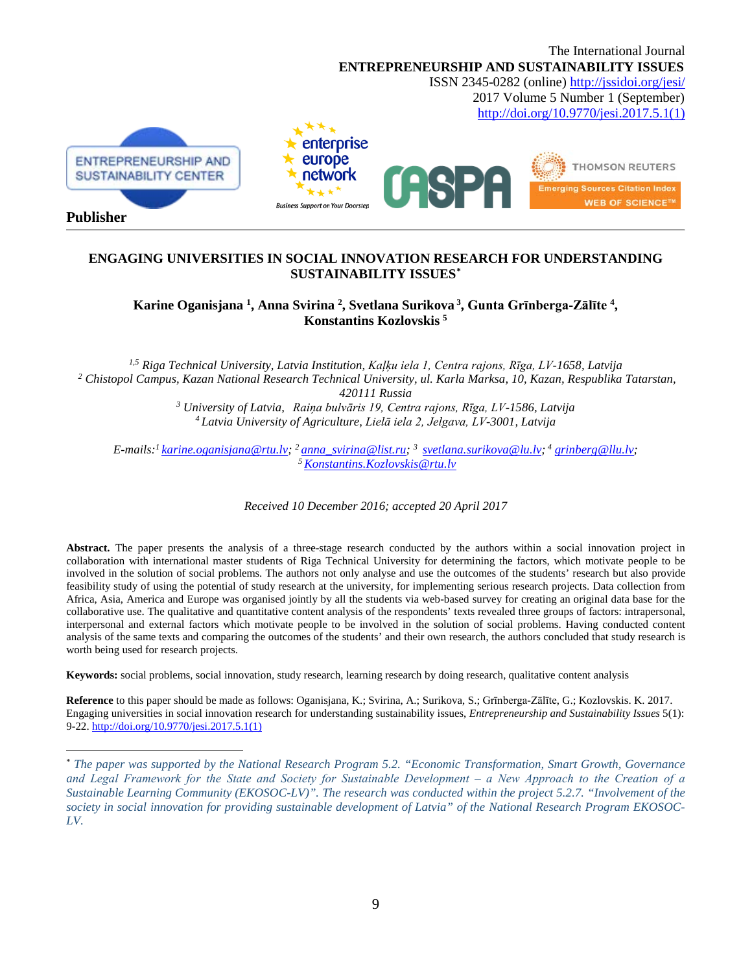

### **ENGAGING UNIVERSITIES IN SOCIAL INNOVATION RESEARCH FOR UNDERSTANDING SUSTAINABILITY ISSUES[\\*](#page-0-0)**

**Karine Oganisjana 1 , Anna Svirina 2 , Svetlana Surikova <sup>3</sup> , Gunta Grīnberga-Zālīte <sup>4</sup> , Konstantins Kozlovskis 5**

*1,5 Riga Technical University, Latvia Institution, Kaļķu iela 1, Centra rajons, Rīga, LV-1658, Latvija <sup>2</sup> Chistopol Campus, Kazan National Research Technical University, ul. Karla Marksa, 10, Kazan, Respublika Tatarstan, 420111 Russia <sup>3</sup> University of Latvia, Raiņa bulvāris 19, Centra rajons, Rīga, LV-1586, Latvija 4 Latvia University of Agriculture, Lielā iela 2, Jelgava, LV-3001, Latvija*

*E-mails:[1 karine.oganisjana@rtu.lv;](mailto:karine.oganisjana@rtu.lv) 2 [anna\\_svirina@list.ru;](mailto:anna_svirina@list.ru) 3 [svetlana.surikova@lu.lv;](mailto:svetlana.surikova@lu.lv) <sup>4</sup> [grinberg@llu.lv;](mailto:grinberg@llu.lv) [5 Konstantins.Kozlovskis@rtu.lv](mailto:Konstantins.Kozlovskis@rtu.lv)*

*Received 10 December 2016; accepted 20 April 2017*

Abstract. The paper presents the analysis of a three-stage research conducted by the authors within a social innovation project in collaboration with international master students of Riga Technical University for determining the factors, which motivate people to be involved in the solution of social problems. The authors not only analyse and use the outcomes of the students' research but also provide feasibility study of using the potential of study research at the university, for implementing serious research projects. Data collection from Africa, Asia, America and Europe was organised jointly by all the students via web-based survey for creating an original data base for the collaborative use. The qualitative and quantitative content analysis of the respondents' texts revealed three groups of factors: intrapersonal, interpersonal and external factors which motivate people to be involved in the solution of social problems. Having conducted content analysis of the same texts and comparing the outcomes of the students' and their own research, the authors concluded that study research is worth being used for research projects.

**Keywords:** social problems, social innovation, study research, learning research by doing research, qualitative content analysis

 $\overline{a}$ 

**Reference** to this paper should be made as follows: Oganisjana, K.; Svirina, A.; Surikova, S.; Grīnberga-Zālīte, G.; Kozlovskis. K. 2017. Engaging universities in social innovation research for understanding sustainability issues, *Entrepreneurship and Sustainability Issues* 5(1): 9-22. [http://doi.org/10.9770/jesi.2017.5.1\(1\)](http://doi.org/10.9770/jesi.2017.5.1(1))

<span id="page-0-0"></span><sup>\*</sup> *The paper was supported by the National Research Program 5.2. "Economic Transformation, Smart Growth, Governance and Legal Framework for the State and Society for Sustainable Development ‒ a New Approach to the Creation of a Sustainable Learning Community (EKOSOC-LV)". The research was conducted within the project 5.2.7. "Involvement of the society in social innovation for providing sustainable development of Latvia" of the National Research Program EKOSOC-LV.*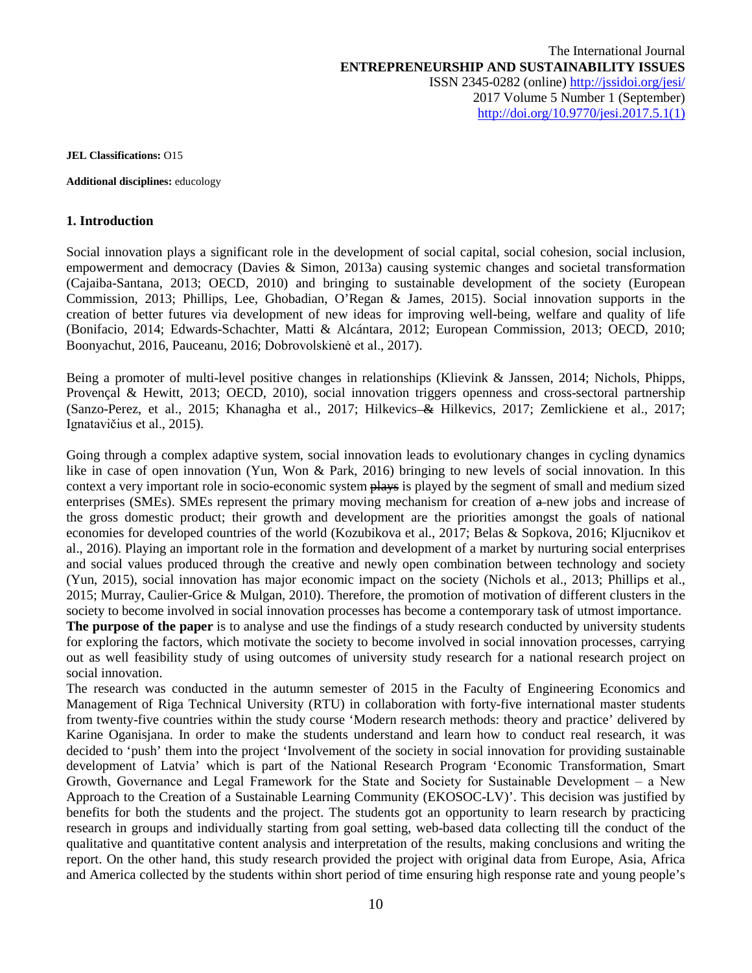**JEL Classifications:** O15

**Additional disciplines:** educology

### **1. Introduction**

Social innovation plays a significant role in the development of social capital, social cohesion, social inclusion, empowerment and democracy (Davies & Simon, 2013a) causing systemic changes and societal transformation (Cajaiba-Santana, 2013; OECD, 2010) and bringing to sustainable development of the society (European Commission, 2013; Phillips, Lee, Ghobadian, O'Regan & James, 2015). Social innovation supports in the creation of better futures via development of new ideas for improving well-being, welfare and quality of life (Bonifacio, 2014; Edwards-Schachter, Matti & Alcántara, 2012; European Commission, 2013; OECD, 2010; Boonyachut, 2016, Pauceanu, 2016; Dobrovolskienė et al., 2017).

Being a promoter of multi-level positive changes in relationships (Klievink & Janssen, 2014; Nichols, Phipps, Provençal & Hewitt, 2013; OECD, 2010), social innovation triggers openness and cross-sectoral partnership (Sanzo-Perez, et al., 2015; Khanagha et al., 2017; Hilkevics & Hilkevics, 2017; Zemlickiene et al., 2017; Ignatavičius et al., 2015).

Going through a complex adaptive system, social innovation leads to evolutionary changes in cycling dynamics like in case of open innovation (Yun, Won & Park, 2016) bringing to new levels of social innovation. In this context a very important role in socio-economic system plays is played by the segment of small and medium sized enterprises (SMEs). SMEs represent the primary moving mechanism for creation of  $\alpha$ -new jobs and increase of the gross domestic product; their growth and development are the priorities amongst the goals of national economies for developed countries of the world (Kozubikova et al., 2017; Belas & Sopkova, 2016; Kljucnikov et al., 2016). Playing an important role in the formation and development of a market by nurturing social enterprises and social values produced through the creative and newly open combination between technology and society (Yun, 2015), social innovation has major economic impact on the society (Nichols et al., 2013; Phillips et al., 2015; Murray, Caulier-Grice & Mulgan, 2010). Therefore, the promotion of motivation of different clusters in the society to become involved in social innovation processes has become a contemporary task of utmost importance.

**The purpose of the paper** is to analyse and use the findings of a study research conducted by university students for exploring the factors, which motivate the society to become involved in social innovation processes, carrying out as well feasibility study of using outcomes of university study research for a national research project on social innovation.

The research was conducted in the autumn semester of 2015 in the Faculty of Engineering Economics and Management of Riga Technical University (RTU) in collaboration with forty-five international master students from twenty-five countries within the study course 'Modern research methods: theory and practice' delivered by Karine Oganisjana. In order to make the students understand and learn how to conduct real research, it was decided to 'push' them into the project 'Involvement of the society in social innovation for providing sustainable development of Latvia' which is part of the National Research Program 'Economic Transformation, Smart Growth, Governance and Legal Framework for the State and Society for Sustainable Development  $-$  a New Approach to the Creation of a Sustainable Learning Community (EKOSOC-LV)'. This decision was justified by benefits for both the students and the project. The students got an opportunity to learn research by practicing research in groups and individually starting from goal setting, web-based data collecting till the conduct of the qualitative and quantitative content analysis and interpretation of the results, making conclusions and writing the report. On the other hand, this study research provided the project with original data from Europe, Asia, Africa and America collected by the students within short period of time ensuring high response rate and young people's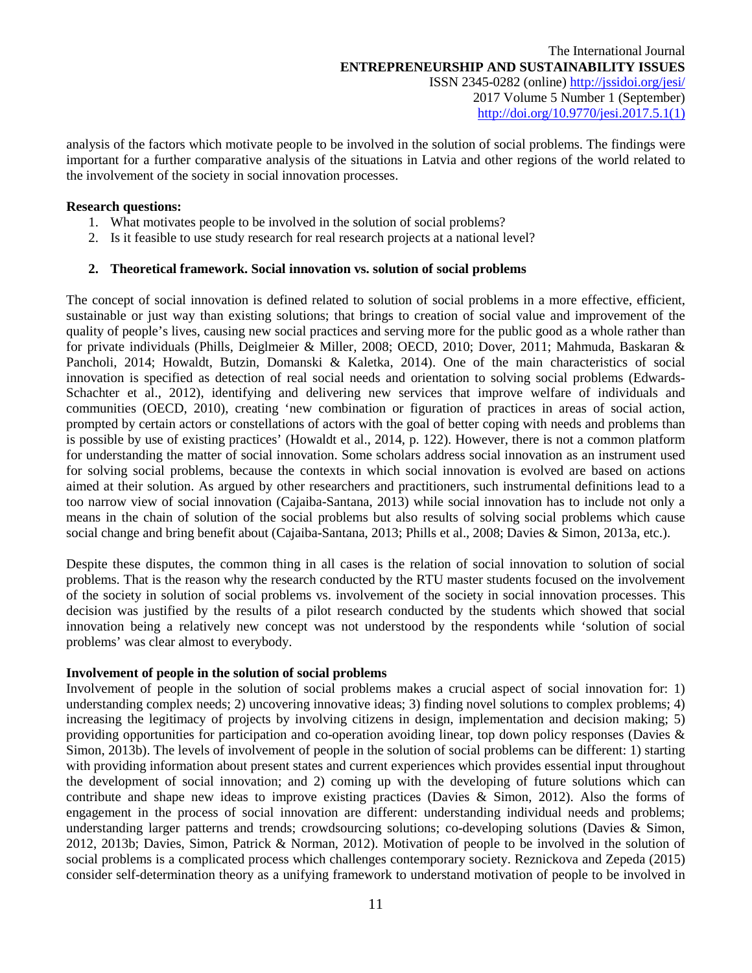analysis of the factors which motivate people to be involved in the solution of social problems. The findings were important for a further comparative analysis of the situations in Latvia and other regions of the world related to the involvement of the society in social innovation processes.

### **Research questions:**

- 1. What motivates people to be involved in the solution of social problems?
- 2. Is it feasible to use study research for real research projects at a national level?

### **2. Theoretical framework. Social innovation vs. solution of social problems**

The concept of social innovation is defined related to solution of social problems in a more effective, efficient, sustainable or just way than existing solutions; that brings to creation of social value and improvement of the quality of people's lives, causing new social practices and serving more for the public good as a whole rather than for private individuals (Phills, Deiglmeier & Miller, 2008; OECD, 2010; Dover, 2011; Mahmuda, Baskaran & Pancholi, 2014; Howaldt, Butzin, Domanski & Kaletka, 2014). One of the main characteristics of social innovation is specified as detection of real social needs and orientation to solving social problems (Edwards-Schachter et al., 2012), identifying and delivering new services that improve welfare of individuals and communities (OECD, 2010), creating 'new combination or figuration of practices in areas of social action, prompted by certain actors or constellations of actors with the goal of better coping with needs and problems than is possible by use of existing practices' (Howaldt et al., 2014, p. 122). However, there is not a common platform for understanding the matter of social innovation. Some scholars address social innovation as an instrument used for solving social problems, because the contexts in which social innovation is evolved are based on actions aimed at their solution. As argued by other researchers and practitioners, such instrumental definitions lead to a too narrow view of social innovation (Cajaiba-Santana, 2013) while social innovation has to include not only a means in the chain of solution of the social problems but also results of solving social problems which cause social change and bring benefit about (Cajaiba-Santana, 2013; Phills et al., 2008; Davies & Simon, 2013a, etc.).

Despite these disputes, the common thing in all cases is the relation of social innovation to solution of social problems. That is the reason why the research conducted by the RTU master students focused on the involvement of the society in solution of social problems vs. involvement of the society in social innovation processes. This decision was justified by the results of a pilot research conducted by the students which showed that social innovation being a relatively new concept was not understood by the respondents while 'solution of social problems' was clear almost to everybody.

# **Involvement of people in the solution of social problems**

Involvement of people in the solution of social problems makes a crucial aspect of social innovation for: 1) understanding complex needs; 2) uncovering innovative ideas; 3) finding novel solutions to complex problems; 4) increasing the legitimacy of projects by involving citizens in design, implementation and decision making; 5) providing opportunities for participation and co-operation avoiding linear, top down policy responses (Davies & Simon, 2013b). The levels of involvement of people in the solution of social problems can be different: 1) starting with providing information about present states and current experiences which provides essential input throughout the development of social innovation; and 2) coming up with the developing of future solutions which can contribute and shape new ideas to improve existing practices (Davies & Simon, 2012). Also the forms of engagement in the process of social innovation are different: understanding individual needs and problems; understanding larger patterns and trends; crowdsourcing solutions; co-developing solutions (Davies & Simon, 2012, 2013b; Davies, Simon, Patrick & Norman, 2012). Motivation of people to be involved in the solution of social problems is a complicated process which challenges contemporary society. Reznickova and Zepeda (2015) consider self-determination theory as a unifying framework to understand motivation of people to be involved in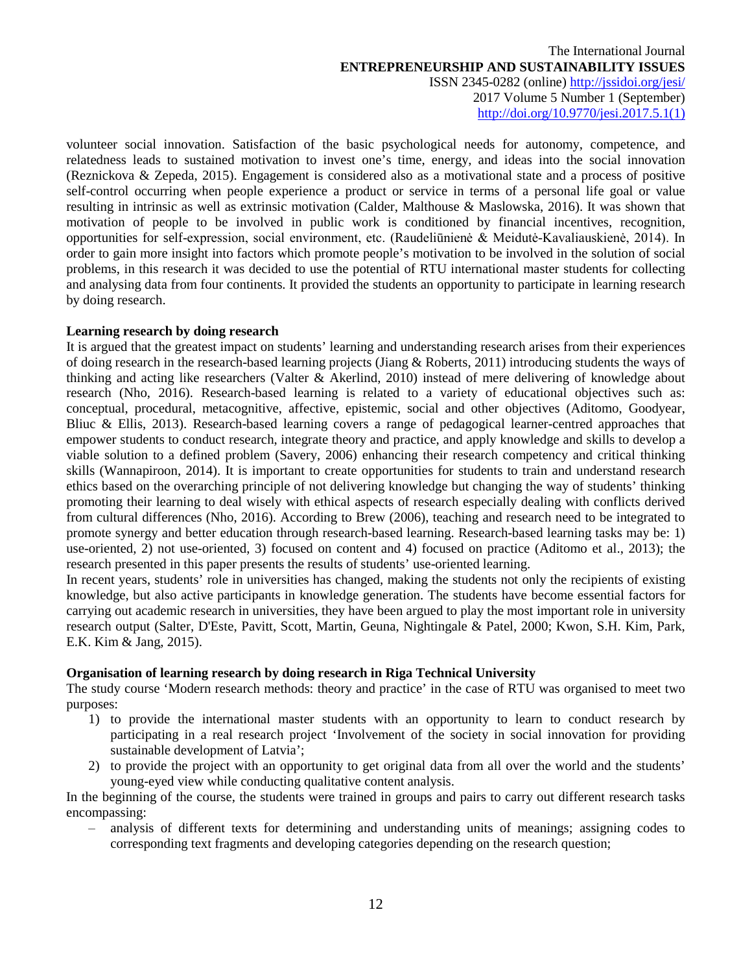volunteer social innovation. Satisfaction of the basic psychological needs for autonomy, competence, and relatedness leads to sustained motivation to invest one's time, energy, and ideas into the social innovation (Reznickova & Zepeda, 2015). Engagement is considered also as a motivational state and a process of positive self-control occurring when people experience a product or service in terms of a personal life goal or value resulting in intrinsic as well as extrinsic motivation (Calder, Malthouse & Maslowska, 2016). It was shown that motivation of people to be involved in public work is conditioned by financial incentives, recognition, opportunities for self-expression, social environment, etc. (Raudeliūnienė & Meidutė-Kavaliauskienė, 2014). In order to gain more insight into factors which promote people's motivation to be involved in the solution of social problems, in this research it was decided to use the potential of RTU international master students for collecting and analysing data from four continents. It provided the students an opportunity to participate in learning research by doing research.

### **Learning research by doing research**

It is argued that the greatest impact on students' learning and understanding research arises from their experiences of doing research in the research-based learning projects (Jiang & Roberts, 2011) introducing students the ways of thinking and acting like researchers (Valter & Akerlind, 2010) instead of mere delivering of knowledge about research (Nho, 2016). Research-based learning is related to a variety of educational objectives such as: conceptual, procedural, metacognitive, affective, epistemic, social and other objectives (Aditomo, Goodyear, Bliuc & Ellis, 2013). Research-based learning covers a range of pedagogical learner-centred approaches that empower students to conduct research, integrate theory and practice, and apply knowledge and skills to develop a viable solution to a defined problem (Savery, 2006) enhancing their research competency and critical thinking skills (Wannapiroon, 2014). It is important to create opportunities for students to train and understand research ethics based on the overarching principle of not delivering knowledge but changing the way of students' thinking promoting their learning to deal wisely with ethical aspects of research especially dealing with conflicts derived from cultural differences (Nho, 2016). According to Brew (2006), teaching and research need to be integrated to promote synergy and better education through research-based learning. Research-based learning tasks may be: 1) use-oriented, 2) not use-oriented, 3) focused on content and 4) focused on practice (Aditomo et al., 2013); the research presented in this paper presents the results of students' use-oriented learning.

In recent years, students' role in universities has changed, making the students not only the recipients of existing knowledge, but also active participants in knowledge generation. The students have become essential factors for carrying out academic research in universities, they have been argued to play the most important role in university research output (Salter, D'Este, Pavitt, Scott, Martin, Geuna, Nightingale & Patel, 2000; Kwon, S.H. Kim, Park, E.K. Kim & Jang, 2015).

# **Organisation of learning research by doing research in Riga Technical University**

The study course 'Modern research methods: theory and practice' in the case of RTU was organised to meet two purposes:

- 1) to provide the international master students with an opportunity to learn to conduct research by participating in a real research project 'Involvement of the society in social innovation for providing sustainable development of Latvia';
- 2) to provide the project with an opportunity to get original data from all over the world and the students' young-eyed view while conducting qualitative content analysis.

In the beginning of the course, the students were trained in groups and pairs to carry out different research tasks encompassing:

‒ analysis of different texts for determining and understanding units of meanings; assigning codes to corresponding text fragments and developing categories depending on the research question;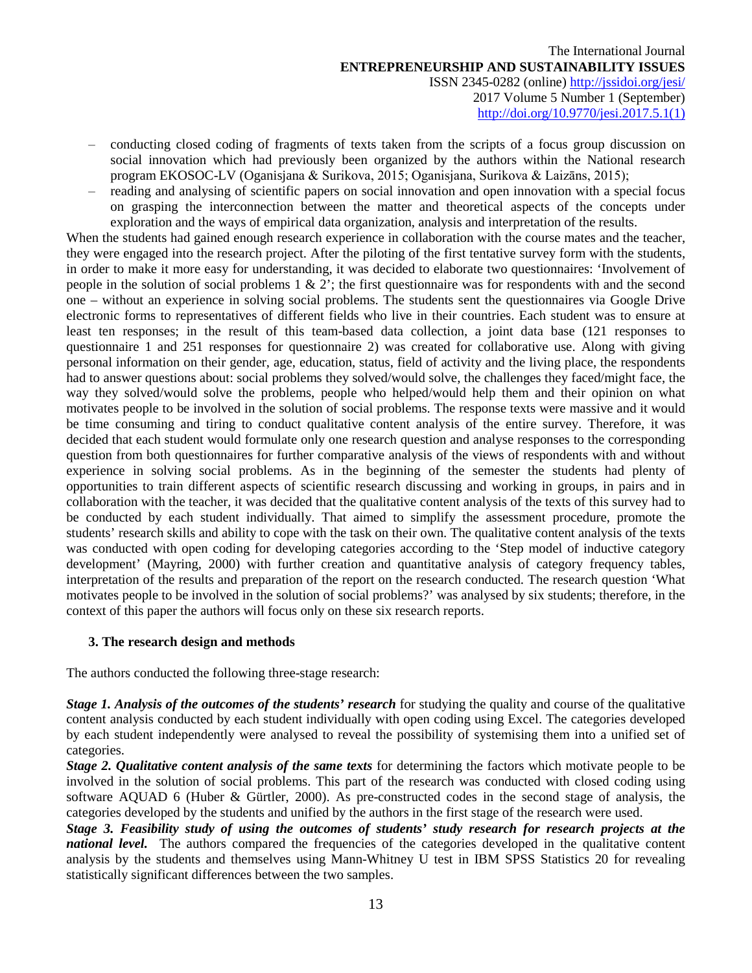- ‒ conducting closed coding of fragments of texts taken from the scripts of a focus group discussion on social innovation which had previously been organized by the authors within the National research program EKOSOC-LV (Oganisjana & Surikova, 2015; Oganisjana, Surikova & Laizāns, 2015);
- ‒ reading and analysing of scientific papers on social innovation and open innovation with a special focus on grasping the interconnection between the matter and theoretical aspects of the concepts under exploration and the ways of empirical data organization, analysis and interpretation of the results.

When the students had gained enough research experience in collaboration with the course mates and the teacher, they were engaged into the research project. After the piloting of the first tentative survey form with the students, in order to make it more easy for understanding, it was decided to elaborate two questionnaires: 'Involvement of people in the solution of social problems 1 & 2'; the first questionnaire was for respondents with and the second one – without an experience in solving social problems. The students sent the questionnaires via Google Drive electronic forms to representatives of different fields who live in their countries. Each student was to ensure at least ten responses; in the result of this team-based data collection, a joint data base (121 responses to questionnaire 1 and 251 responses for questionnaire 2) was created for collaborative use. Along with giving personal information on their gender, age, education, status, field of activity and the living place, the respondents had to answer questions about: social problems they solved/would solve, the challenges they faced/might face, the way they solved/would solve the problems, people who helped/would help them and their opinion on what motivates people to be involved in the solution of social problems. The response texts were massive and it would be time consuming and tiring to conduct qualitative content analysis of the entire survey. Therefore, it was decided that each student would formulate only one research question and analyse responses to the corresponding question from both questionnaires for further comparative analysis of the views of respondents with and without experience in solving social problems. As in the beginning of the semester the students had plenty of opportunities to train different aspects of scientific research discussing and working in groups, in pairs and in collaboration with the teacher, it was decided that the qualitative content analysis of the texts of this survey had to be conducted by each student individually. That aimed to simplify the assessment procedure, promote the students' research skills and ability to cope with the task on their own. The qualitative content analysis of the texts was conducted with open coding for developing categories according to the 'Step model of inductive category development' (Mayring, 2000) with further creation and quantitative analysis of category frequency tables, interpretation of the results and preparation of the report on the research conducted. The research question 'What motivates people to be involved in the solution of social problems?' was analysed by six students; therefore, in the context of this paper the authors will focus only on these six research reports.

# **3. The research design and methods**

The authors conducted the following three-stage research:

*Stage 1. Analysis of the outcomes of the students' research* for studying the quality and course of the qualitative content analysis conducted by each student individually with open coding using Excel. The categories developed by each student independently were analysed to reveal the possibility of systemising them into a unified set of categories.

*Stage 2. Qualitative content analysis of the same texts* for determining the factors which motivate people to be involved in the solution of social problems. This part of the research was conducted with closed coding using software AQUAD 6 (Huber & Gürtler, 2000). As pre-constructed codes in the second stage of analysis, the categories developed by the students and unified by the authors in the first stage of the research were used.

*Stage 3. Feasibility study of using the outcomes of students' study research for research projects at the national level.* The authors compared the frequencies of the categories developed in the qualitative content analysis by the students and themselves using Mann-Whitney U test in IBM SPSS Statistics 20 for revealing statistically significant differences between the two samples.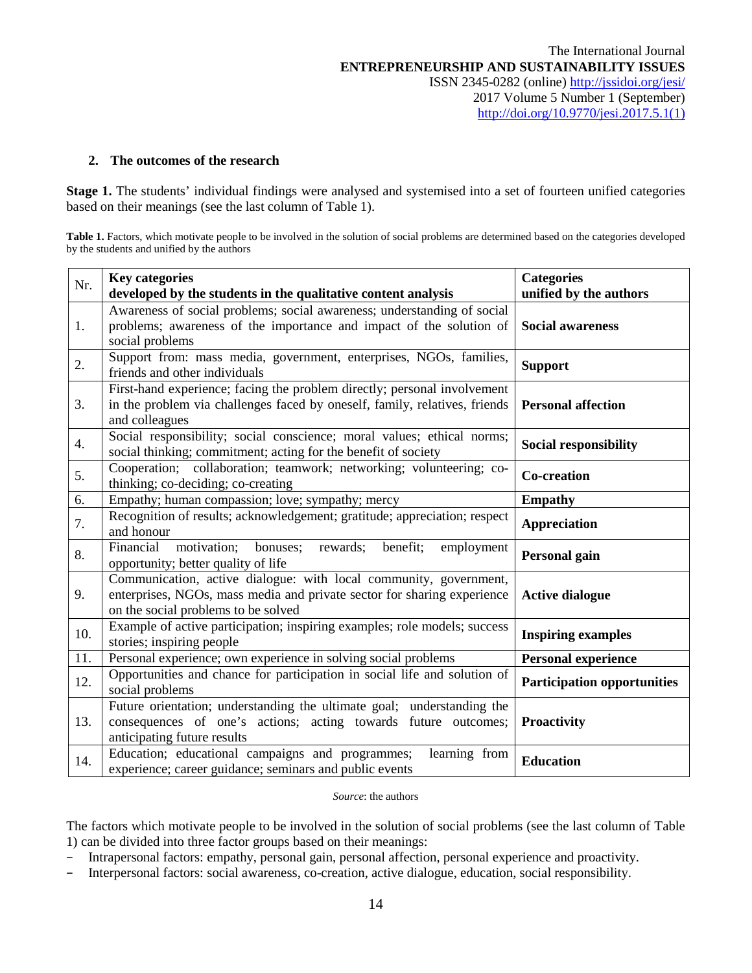### **2. The outcomes of the research**

**Stage 1.** The students' individual findings were analysed and systemised into a set of fourteen unified categories based on their meanings (see the last column of Table 1).

Table 1. Factors, which motivate people to be involved in the solution of social problems are determined based on the categories developed by the students and unified by the authors

| Nr.              | <b>Key categories</b><br>developed by the students in the qualitative content analysis                                                                                              | <b>Categories</b><br>unified by the authors |
|------------------|-------------------------------------------------------------------------------------------------------------------------------------------------------------------------------------|---------------------------------------------|
| 1.               | Awareness of social problems; social awareness; understanding of social<br>problems; awareness of the importance and impact of the solution of<br>social problems                   | <b>Social awareness</b>                     |
| 2.               | Support from: mass media, government, enterprises, NGOs, families,<br>friends and other individuals                                                                                 | <b>Support</b>                              |
| 3.               | First-hand experience; facing the problem directly; personal involvement<br>in the problem via challenges faced by oneself, family, relatives, friends<br>and colleagues            | <b>Personal affection</b>                   |
| $\overline{4}$ . | Social responsibility; social conscience; moral values; ethical norms;<br>social thinking; commitment; acting for the benefit of society                                            | <b>Social responsibility</b>                |
| 5.               | Cooperation; collaboration; teamwork; networking; volunteering; co-<br>thinking; co-deciding; co-creating                                                                           | <b>Co-creation</b>                          |
| 6.               | Empathy; human compassion; love; sympathy; mercy                                                                                                                                    | <b>Empathy</b>                              |
| 7.               | Recognition of results; acknowledgement; gratitude; appreciation; respect<br>and honour                                                                                             | <b>Appreciation</b>                         |
| 8.               | Financial<br>motivation;<br>bonuses;<br>rewards;<br>benefit;<br>employment<br>opportunity; better quality of life                                                                   | <b>Personal gain</b>                        |
| 9.               | Communication, active dialogue: with local community, government,<br>enterprises, NGOs, mass media and private sector for sharing experience<br>on the social problems to be solved | <b>Active dialogue</b>                      |
| 10.              | Example of active participation; inspiring examples; role models; success<br>stories; inspiring people                                                                              | <b>Inspiring examples</b>                   |
| 11.              | Personal experience; own experience in solving social problems                                                                                                                      | <b>Personal experience</b>                  |
| 12.              | Opportunities and chance for participation in social life and solution of<br>social problems                                                                                        | <b>Participation opportunities</b>          |
| 13.              | Future orientation; understanding the ultimate goal; understanding the<br>consequences of one's actions; acting towards future outcomes;<br>anticipating future results             | <b>Proactivity</b>                          |
| 14.              | Education; educational campaigns and programmes;<br>learning from<br>experience; career guidance; seminars and public events                                                        | <b>Education</b>                            |

#### *Source*: the authors

The factors which motivate people to be involved in the solution of social problems (see the last column of Table 1) can be divided into three factor groups based on their meanings:

- Intrapersonal factors: empathy, personal gain, personal affection, personal experience and proactivity.
- Interpersonal factors: social awareness, co-creation, active dialogue, education, social responsibility.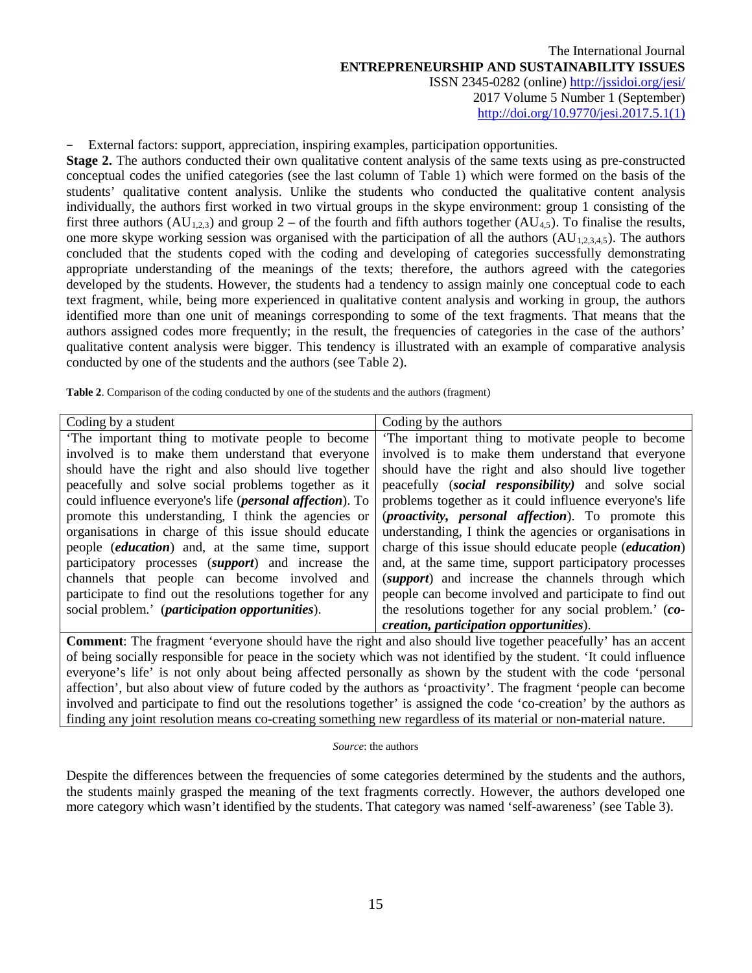### − External factors: support, appreciation, inspiring examples, participation opportunities.

**Stage 2.** The authors conducted their own qualitative content analysis of the same texts using as pre-constructed conceptual codes the unified categories (see the last column of Table 1) which were formed on the basis of the students' qualitative content analysis. Unlike the students who conducted the qualitative content analysis individually, the authors first worked in two virtual groups in the skype environment: group 1 consisting of the first three authors  $(AU_{1,2,3})$  and group 2 – of the fourth and fifth authors together  $(AU_{4,5})$ . To finalise the results, one more skype working session was organised with the participation of all the authors  $(AU_{1,2,3,4,5})$ . The authors concluded that the students coped with the coding and developing of categories successfully demonstrating appropriate understanding of the meanings of the texts; therefore, the authors agreed with the categories developed by the students. However, the students had a tendency to assign mainly one conceptual code to each text fragment, while, being more experienced in qualitative content analysis and working in group, the authors identified more than one unit of meanings corresponding to some of the text fragments. That means that the authors assigned codes more frequently; in the result, the frequencies of categories in the case of the authors' qualitative content analysis were bigger. This tendency is illustrated with an example of comparative analysis conducted by one of the students and the authors (see Table 2).

**Table 2**. Comparison of the coding conducted by one of the students and the authors (fragment)

| Coding by a student                                               | Coding by the authors                                               |
|-------------------------------------------------------------------|---------------------------------------------------------------------|
| The important thing to motivate people to become                  | The important thing to motivate people to become                    |
| involved is to make them understand that everyone                 | involved is to make them understand that everyone                   |
| should have the right and also should live together               | should have the right and also should live together                 |
| peacefully and solve social problems together as it               | peacefully <i>(social responsibility)</i> and solve social          |
| could influence everyone's life ( <i>personal affection</i> ). To | problems together as it could influence everyone's life             |
| promote this understanding, I think the agencies or               | ( <i>proactivity</i> , <i>personal affection</i> ). To promote this |
| organisations in charge of this issue should educate              | understanding, I think the agencies or organisations in             |
| people <i>(education)</i> and, at the same time, support          | charge of this issue should educate people ( <i>education</i> )     |
| participatory processes (support) and increase the                | and, at the same time, support participatory processes              |
| channels that people can become involved and                      | ( <i>support</i> ) and increase the channels through which          |
| participate to find out the resolutions together for any          | people can become involved and participate to find out              |
| social problem.' ( <i>participation opportunities</i> ).          | the resolutions together for any social problem.' (co-              |
|                                                                   | creation, participation opportunities).                             |

**Comment**: The fragment 'everyone should have the right and also should live together peacefully' has an accent of being socially responsible for peace in the society which was not identified by the student. 'It could influence everyone's life' is not only about being affected personally as shown by the student with the code 'personal affection', but also about view of future coded by the authors as 'proactivity'. The fragment 'people can become involved and participate to find out the resolutions together' is assigned the code 'co-creation' by the authors as finding any joint resolution means co-creating something new regardless of its material or non-material nature.

#### *Source*: the authors

Despite the differences between the frequencies of some categories determined by the students and the authors, the students mainly grasped the meaning of the text fragments correctly. However, the authors developed one more category which wasn't identified by the students. That category was named 'self-awareness' (see Table 3).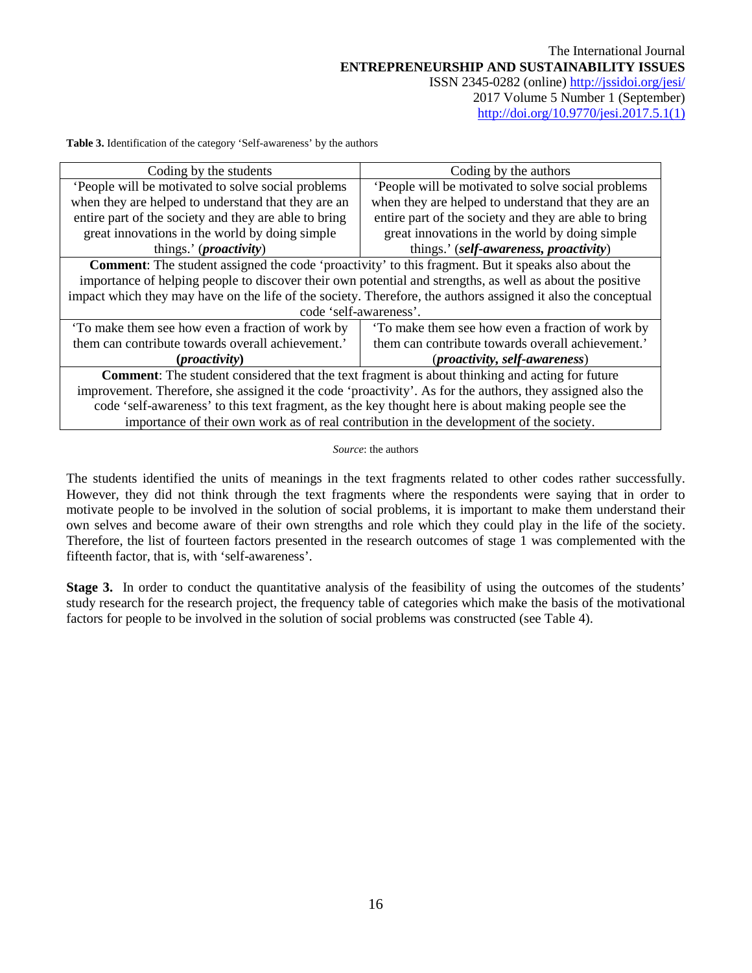**Table 3.** Identification of the category 'Self-awareness' by the authors

| Coding by the students                                                                                        | Coding by the authors                                 |  |  |  |  |  |  |
|---------------------------------------------------------------------------------------------------------------|-------------------------------------------------------|--|--|--|--|--|--|
| People will be motivated to solve social problems                                                             | People will be motivated to solve social problems     |  |  |  |  |  |  |
| when they are helped to understand that they are an                                                           | when they are helped to understand that they are an   |  |  |  |  |  |  |
| entire part of the society and they are able to bring                                                         | entire part of the society and they are able to bring |  |  |  |  |  |  |
| great innovations in the world by doing simple                                                                | great innovations in the world by doing simple        |  |  |  |  |  |  |
| things.' ( <i>proactivity</i> )                                                                               | things.' (self-awareness, proactivity)                |  |  |  |  |  |  |
| <b>Comment:</b> The student assigned the code 'proactivity' to this fragment. But it speaks also about the    |                                                       |  |  |  |  |  |  |
| importance of helping people to discover their own potential and strengths, as well as about the positive     |                                                       |  |  |  |  |  |  |
| impact which they may have on the life of the society. Therefore, the authors assigned it also the conceptual |                                                       |  |  |  |  |  |  |
| code 'self-awareness'.                                                                                        |                                                       |  |  |  |  |  |  |
| To make them see how even a fraction of work by                                                               | To make them see how even a fraction of work by       |  |  |  |  |  |  |
| them can contribute towards overall achievement.'                                                             | them can contribute towards overall achievement.'     |  |  |  |  |  |  |
| $(proxivity)$                                                                                                 | ( <i>proactivity</i> , <i>self-awareness</i> )        |  |  |  |  |  |  |
| <b>Comment:</b> The student considered that the text fragment is about thinking and acting for future         |                                                       |  |  |  |  |  |  |
| improvement. Therefore, she assigned it the code 'proactivity'. As for the authors, they assigned also the    |                                                       |  |  |  |  |  |  |
| code 'self-awareness' to this text fragment, as the key thought here is about making people see the           |                                                       |  |  |  |  |  |  |
| importance of their own work as of real contribution in the development of the society.                       |                                                       |  |  |  |  |  |  |

#### *Source*: the authors

The students identified the units of meanings in the text fragments related to other codes rather successfully. However, they did not think through the text fragments where the respondents were saying that in order to motivate people to be involved in the solution of social problems, it is important to make them understand their own selves and become aware of their own strengths and role which they could play in the life of the society. Therefore, the list of fourteen factors presented in the research outcomes of stage 1 was complemented with the fifteenth factor, that is, with 'self-awareness'.

**Stage 3.** In order to conduct the quantitative analysis of the feasibility of using the outcomes of the students' study research for the research project, the frequency table of categories which make the basis of the motivational factors for people to be involved in the solution of social problems was constructed (see Table 4).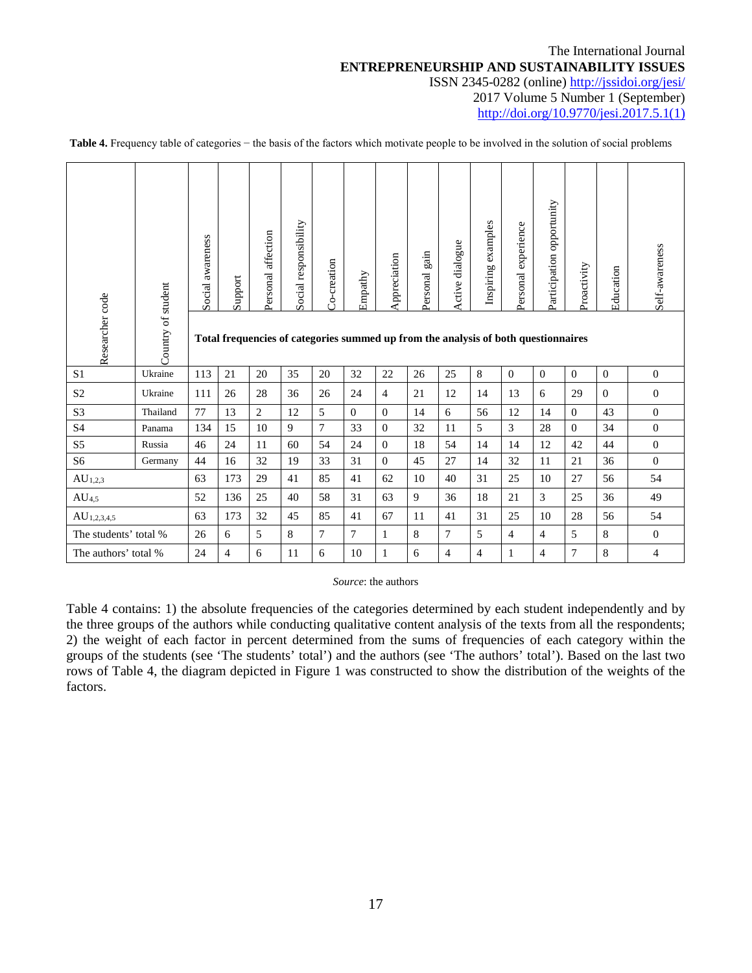|                       | Country of student | Social awareness                                                                   | Support | Personal affection | Social responsibility | Co-creation | Empathy        | Appreciation   | gain<br>Personal | Active dialogue | examples<br>Inspiring | Personal experience | opportunity<br>Participation | Proactivity    | Education | Self-awareness |
|-----------------------|--------------------|------------------------------------------------------------------------------------|---------|--------------------|-----------------------|-------------|----------------|----------------|------------------|-----------------|-----------------------|---------------------|------------------------------|----------------|-----------|----------------|
| Researcher code       |                    | Total frequencies of categories summed up from the analysis of both questionnaires |         |                    |                       |             |                |                |                  |                 |                       |                     |                              |                |           |                |
| S <sub>1</sub>        | Ukraine            | 113                                                                                | 21      | 20                 | 35                    | 20          | 32             | 22             | 26               | 25              | 8                     | $\Omega$            | $\theta$                     | $\Omega$       | $\Omega$  | $\mathbf{0}$   |
| S <sub>2</sub>        | Ukraine            | 111                                                                                | 26      | 28                 | 36                    | 26          | 24             | $\overline{4}$ | 21               | 12              | 14                    | 13                  | 6                            | 29             | $\Omega$  | $\mathbf{0}$   |
| S <sub>3</sub>        | Thailand           | 77                                                                                 | 13      | $\overline{2}$     | 12                    | 5           | $\Omega$       | $\Omega$       | 14               | 6               | 56                    | 12                  | 14                           | $\theta$       | 43        | $\overline{0}$ |
| <b>S4</b>             | Panama             | 134                                                                                | 15      | 10                 | 9                     | $\tau$      | 33             | $\overline{0}$ | 32               | 11              | 5                     | 3                   | 28                           | $\Omega$       | 34        | $\overline{0}$ |
| S <sub>5</sub>        | Russia             | 46                                                                                 | 24      | 11                 | 60                    | 54          | 24             | $\overline{0}$ | 18               | 54              | 14                    | 14                  | 12                           | 42             | 44        | $\overline{0}$ |
| S <sub>6</sub>        | Germany            | 44                                                                                 | 16      | 32                 | 19                    | 33          | 31             | $\Omega$       | 45               | 27              | 14                    | 32                  | 11                           | 21             | 36        | $\Omega$       |
| $AU_{1,2,3}$          |                    | 63                                                                                 | 173     | 29                 | 41                    | 85          | 41             | 62             | 10               | 40              | 31                    | 25                  | 10                           | 27             | 56        | 54             |
| AU <sub>4,5</sub>     |                    | 52                                                                                 | 136     | 25                 | 40                    | 58          | 31             | 63             | 9                | 36              | 18                    | 21                  | 3                            | 25             | 36        | 49             |
| $AU_{1,2,3,4,5}$      |                    | 63                                                                                 | 173     | 32                 | 45                    | 85          | 41             | 67             | 11               | 41              | 31                    | 25                  | 10                           | 28             | 56        | 54             |
| The students' total % |                    | 26                                                                                 | 6       | 5                  | 8                     | $\tau$      | $\overline{7}$ | 1              | 8                | 7               | 5                     | $\overline{4}$      | $\overline{4}$               | 5              | 8         | $\overline{0}$ |
| The authors' total %  |                    | 24                                                                                 | 4       | 6                  | 11                    | 6           | 10             | $\mathbf{1}$   | 6                | $\overline{4}$  | $\overline{4}$        | $\mathbf{1}$        | $\overline{4}$               | $\overline{7}$ | 8         | $\overline{4}$ |

Table 4. Frequency table of categories – the basis of the factors which motivate people to be involved in the solution of social problems

*Source*: the authors

Table 4 contains: 1) the absolute frequencies of the categories determined by each student independently and by the three groups of the authors while conducting qualitative content analysis of the texts from all the respondents; 2) the weight of each factor in percent determined from the sums of frequencies of each category within the groups of the students (see 'The students' total') and the authors (see 'The authors' total'). Based on the last two rows of Table 4, the diagram depicted in Figure 1 was constructed to show the distribution of the weights of the factors.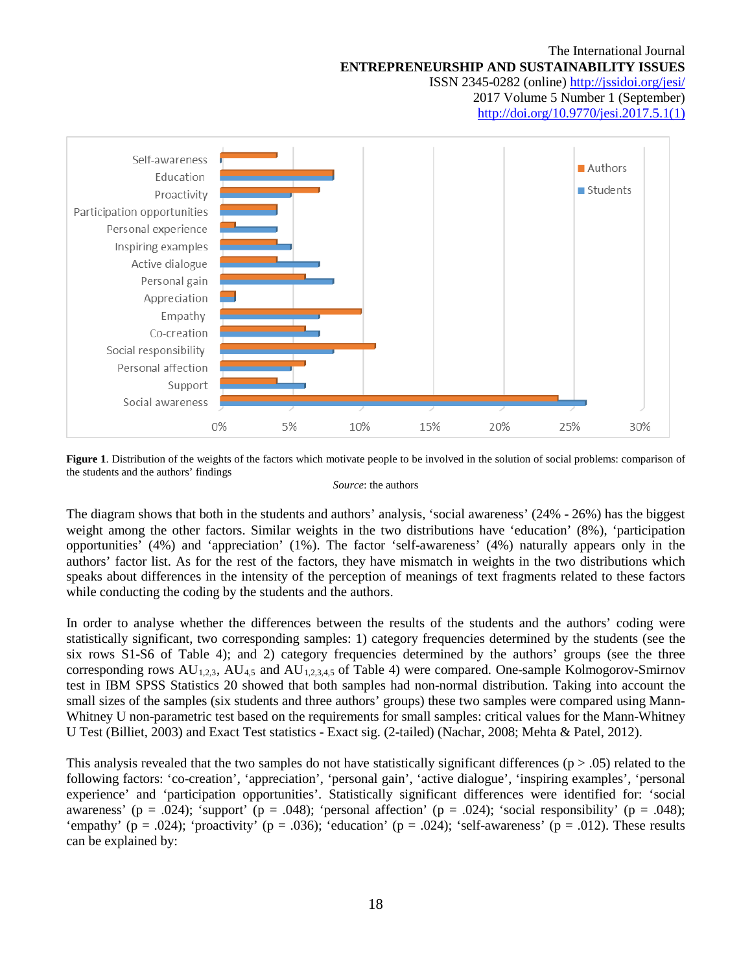

**Figure 1**. Distribution of the weights of the factors which motivate people to be involved in the solution of social problems: comparison of the students and the authors' findings

*Source*: the authors

The diagram shows that both in the students and authors' analysis, 'social awareness' (24% - 26%) has the biggest weight among the other factors. Similar weights in the two distributions have 'education' (8%), 'participation opportunities' (4%) and 'appreciation' (1%). The factor 'self-awareness' (4%) naturally appears only in the authors' factor list. As for the rest of the factors, they have mismatch in weights in the two distributions which speaks about differences in the intensity of the perception of meanings of text fragments related to these factors while conducting the coding by the students and the authors.

In order to analyse whether the differences between the results of the students and the authors' coding were statistically significant, two corresponding samples: 1) category frequencies determined by the students (see the six rows S1-S6 of Table 4); and 2) category frequencies determined by the authors' groups (see the three corresponding rows  $AU_{1,2,3}$ ,  $AU_{4,5}$  and  $AU_{1,2,3,4,5}$  of Table 4) were compared. One-sample Kolmogorov-Smirnov test in IBM SPSS Statistics 20 showed that both samples had non-normal distribution. Taking into account the small sizes of the samples (six students and three authors' groups) these two samples were compared using Mann-Whitney U non-parametric test based on the requirements for small samples: critical values for the Mann-Whitney U Test (Billiet, 2003) and Exact Test statistics - Exact sig. (2-tailed) (Nachar, 2008; Mehta & Patel, 2012).

This analysis revealed that the two samples do not have statistically significant differences ( $p > .05$ ) related to the following factors: 'co-creation', 'appreciation', 'personal gain', 'active dialogue', 'inspiring examples', 'personal experience' and 'participation opportunities'. Statistically significant differences were identified for: 'social awareness' (p = .024); 'support' (p = .048); 'personal affection' (p = .024); 'social responsibility' (p = .048); 'empathy' (p = .024); 'proactivity' (p = .036); 'education' (p = .024); 'self-awareness' (p = .012). These results can be explained by: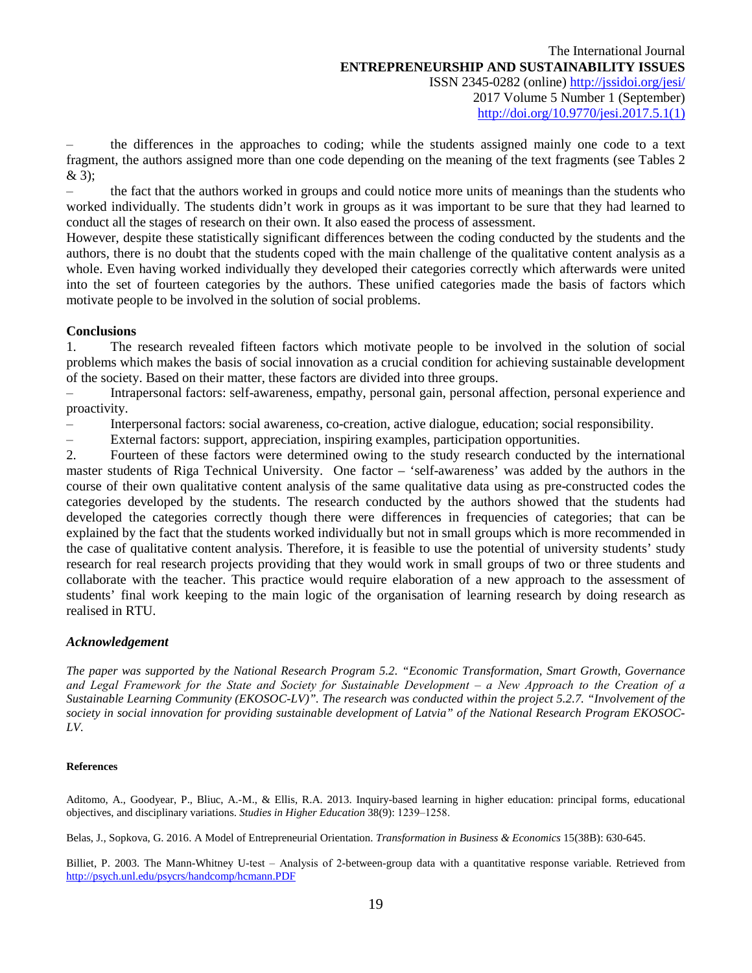‒ the differences in the approaches to coding; while the students assigned mainly one code to a text fragment, the authors assigned more than one code depending on the meaning of the text fragments (see Tables 2 & 3);

‒ the fact that the authors worked in groups and could notice more units of meanings than the students who worked individually. The students didn't work in groups as it was important to be sure that they had learned to conduct all the stages of research on their own. It also eased the process of assessment.

However, despite these statistically significant differences between the coding conducted by the students and the authors, there is no doubt that the students coped with the main challenge of the qualitative content analysis as a whole. Even having worked individually they developed their categories correctly which afterwards were united into the set of fourteen categories by the authors. These unified categories made the basis of factors which motivate people to be involved in the solution of social problems.

# **Conclusions**

1. The research revealed fifteen factors which motivate people to be involved in the solution of social problems which makes the basis of social innovation as a crucial condition for achieving sustainable development of the society. Based on their matter, these factors are divided into three groups.

‒ Intrapersonal factors: self-awareness, empathy, personal gain, personal affection, personal experience and proactivity.

‒ Interpersonal factors: social awareness, co-creation, active dialogue, education; social responsibility.

‒ External factors: support, appreciation, inspiring examples, participation opportunities.

2. Fourteen of these factors were determined owing to the study research conducted by the international master students of Riga Technical University. One factor – 'self-awareness' was added by the authors in the course of their own qualitative content analysis of the same qualitative data using as pre-constructed codes the categories developed by the students. The research conducted by the authors showed that the students had developed the categories correctly though there were differences in frequencies of categories; that can be explained by the fact that the students worked individually but not in small groups which is more recommended in the case of qualitative content analysis. Therefore, it is feasible to use the potential of university students' study research for real research projects providing that they would work in small groups of two or three students and collaborate with the teacher. This practice would require elaboration of a new approach to the assessment of students' final work keeping to the main logic of the organisation of learning research by doing research as realised in RTU.

# *Acknowledgement*

*The paper was supported by the National Research Program 5.2. "Economic Transformation, Smart Growth, Governance and Legal Framework for the State and Society for Sustainable Development ‒ a New Approach to the Creation of a Sustainable Learning Community (EKOSOC-LV)". The research was conducted within the project 5.2.7. "Involvement of the society in social innovation for providing sustainable development of Latvia" of the National Research Program EKOSOC-LV.*

### **References**

Aditomo, A., Goodyear, P., Bliuc, A.-M., & Ellis, R.A. 2013. Inquiry-based learning in higher education: principal forms, educational objectives, and disciplinary variations. *Studies in Higher Education* 38(9): 1239-1258.

Belas, J., Sopkova, G. 2016. A Model of Entrepreneurial Orientation. *Transformation in Business & Economics* 15(38B): 630-645.

Billiet, P. 2003. The Mann-Whitney U-test – Analysis of 2-between-group data with a quantitative response variable. Retrieved from <http://psych.unl.edu/psycrs/handcomp/hcmann.PDF>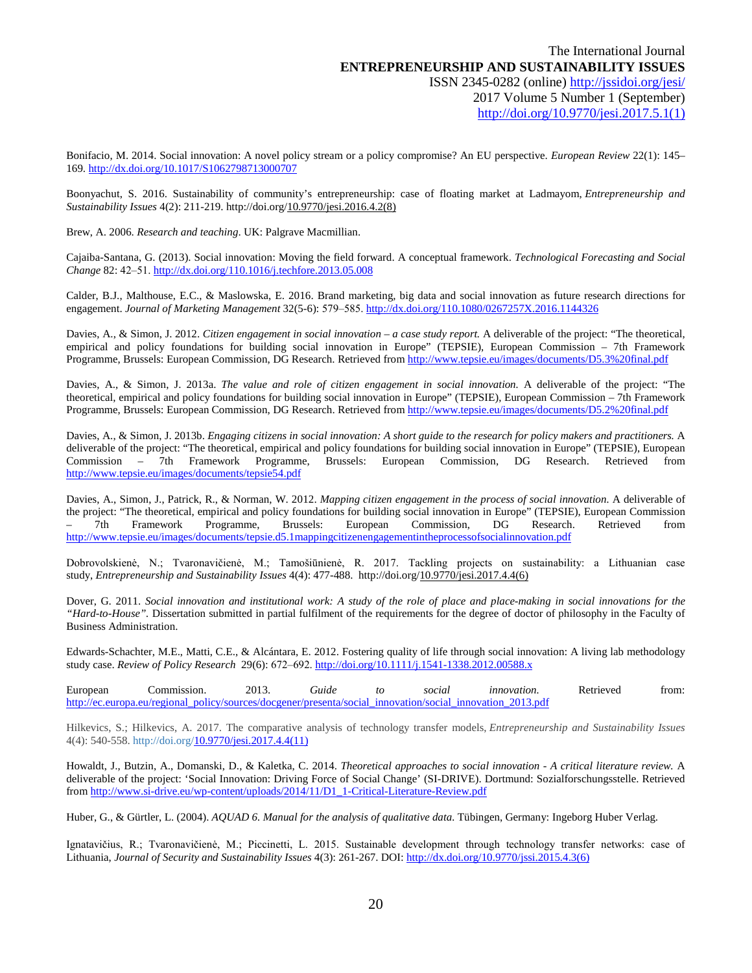Bonifacio, M. 2014. Social innovation: A novel policy stream or a policy compromise? An EU perspective. *European Review* 22(1): 145– 169.<http://dx.doi.org/10.1017/S1062798713000707>

Boonyachut, S. 2016. Sustainability of community's entrepreneurship: case of floating market at Ladmayom, *Entrepreneurship and Sustainability Issues* 4(2): 211-219. http://doi.org[/10.9770/jesi.2016.4.2\(8\)](http://dx.doi.org/10.9770/jesi.2016.4.2(8))

Brew, A. 2006. *Research and teaching*. UK: Palgrave Macmillian.

Cajaiba-Santana, G. (2013). Social innovation: Moving the field forward. A conceptual framework. *Technological Forecasting and Social Change* 82: 42‒51. <http://dx.doi.org/110.1016/j.techfore.2013.05.008>

Calder, B.J., Malthouse, E.C., & Maslowska, E. 2016. Brand marketing, big data and social innovation as future research directions for engagement. *Journal of Marketing Management* 32(5-6): 579‒585. <http://dx.doi.org/110.1080/0267257X.2016.1144326>

Davies, A., & Simon, J. 2012. *Citizen engagement in social innovation – a case study report.* A deliverable of the project: "The theoretical, empirical and policy foundations for building social innovation in Europe" (TEPSIE), European Commission – 7th Framework Programme, Brussels: European Commission, DG Research. Retrieved from <http://www.tepsie.eu/images/documents/D5.3%20final.pdf>

Davies, A., & Simon, J. 2013a. *The value and role of citizen engagement in social innovation.* A deliverable of the project: "The theoretical, empirical and policy foundations for building social innovation in Europe" (TEPSIE), European Commission – 7th Framework Programme, Brussels: European Commission, DG Research. Retrieved from<http://www.tepsie.eu/images/documents/D5.2%20final.pdf>

Davies, A., & Simon, J. 2013b. *Engaging citizens in social innovation: A short guide to the research for policy makers and practitioners.* A deliverable of the project: "The theoretical, empirical and policy foundations for building social innovation in Europe" (TEPSIE), European Commission – 7th Framework Programme, Brussels: European Commission, DG Research. Retrieved from <http://www.tepsie.eu/images/documents/tepsie54.pdf>

Davies, A., Simon, J., Patrick, R., & Norman, W. 2012. *Mapping citizen engagement in the process of social innovation.* A deliverable of the project: "The theoretical, empirical and policy foundations for building social innovation in Europe" (TEPSIE), European Commission – 7th Framework Programme, Brussels: European Commission, DG Research. Retrieved from <http://www.tepsie.eu/images/documents/tepsie.d5.1mappingcitizenengagementintheprocessofsocialinnovation.pdf>

Dobrovolskienė, N.; Tvaronavičienė, M.; Tamošiūnienė, R. 2017. Tackling projects on sustainability: a Lithuanian case study, *Entrepreneurship and Sustainability Issues* 4(4): 477-488. http://doi.or[g/10.9770/jesi.2017.4.4\(6\)](http://dx.doi.org/10.9770/jesi.2017.4.4(6))

Dover, G. 2011. *Social innovation and institutional work: A study of the role of place and place-making in social innovations for the "Hard-to-House".* Dissertation submitted in partial fulfilment of the requirements for the degree of doctor of philosophy in the Faculty of Business Administration.

Edwards-Schachter, M.E., Matti, C.E., & Alcántara, E. 2012. Fostering quality of life through social innovation: A living lab methodology study case. *Review of Policy Research* 29(6): 672‒692. <http://doi.org/10.1111/j.1541-1338.2012.00588.x>

| European |                                                                                                            | iuide |  | Retrieved | trom: |
|----------|------------------------------------------------------------------------------------------------------------|-------|--|-----------|-------|
|          | http://ec.europa.eu/regional policy/sources/docgener/presenta/social innovation/social innovation 2013.pdf |       |  |           |       |

Hilkevics, S.; Hilkevics, A. 2017. The comparative analysis of technology transfer models, *Entrepreneurship and Sustainability Issues* 4(4): 540-558. http://doi.org[/10.9770/jesi.2017.4.4\(11\)](http://dx.doi.org/10.9770/jesi.2017.4.4(11))

Howaldt, J., Butzin, A., Domanski, D., & Kaletka, C. 2014. *Theoretical approaches to social innovation - A critical literature review.* A deliverable of the project: 'Social Innovation: Driving Force of Social Change' (SI-DRIVE). Dortmund: Sozialforschungsstelle. Retrieved fro[m http://www.si-drive.eu/wp-content/uploads/2014/11/D1\\_1-Critical-Literature-Review.pdf](http://www.si-drive.eu/wp-content/uploads/2014/11/D1_1-Critical-Literature-Review.pdf)

Huber, G., & Gürtler, L. (2004). *AQUAD 6. Manual for the analysis of qualitative data.* Tübingen, Germany: Ingeborg Huber Verlag.

Ignatavičius, R.; Tvaronavičienė, M.; Piccinetti, L. 2015. Sustainable development through technology transfer networks: case of Lithuania, *Journal of Security and Sustainability Issues* 4(3): 261-267. DOI: [http://dx.doi.org/10.9770/jssi.2015.4.3\(6\)](http://dx.doi.org/10.9770/jssi.2015.4.3(6))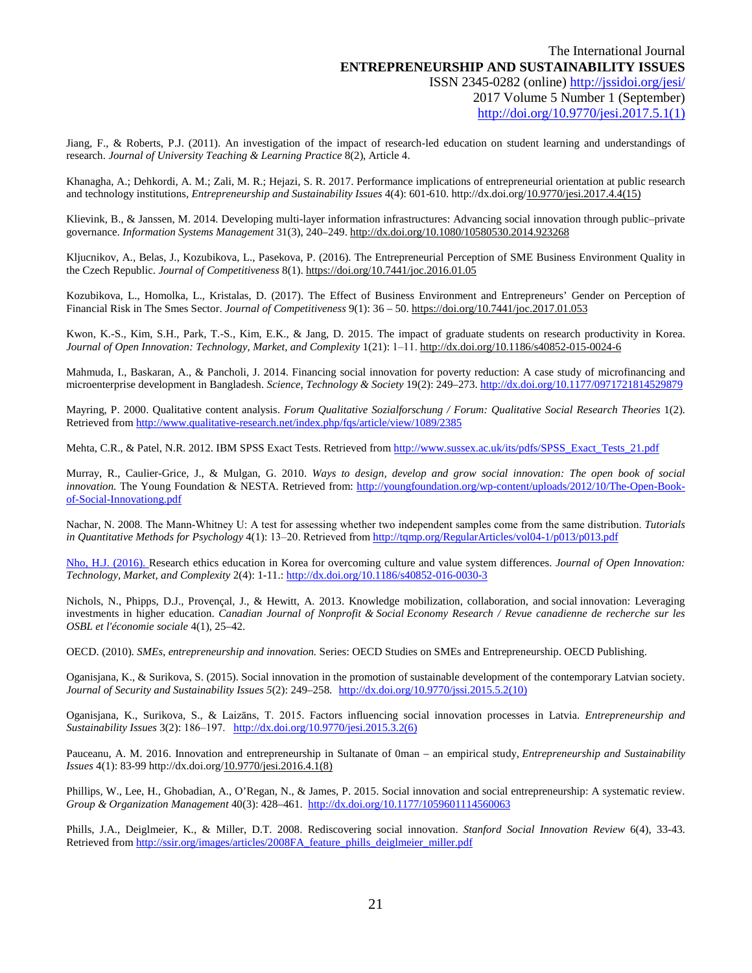Jiang, F., & Roberts, P.J. (2011). An investigation of the impact of research-led education on student learning and understandings of research. *Journal of University Teaching & Learning Practice* 8(2), Article 4.

Khanagha, A.; Dehkordi, A. M.; Zali, M. R.; Hejazi, S. R. 2017. Performance implications of entrepreneurial orientation at public research and technology institutions, *Entrepreneurship and Sustainability Issues* 4(4): 601-610. http://dx.doi.or[g/10.9770/jesi.2017.4.4\(15\)](http://dx.doi.org/10.9770/jesi.2017.4.4(15))

Klievink, B., & Janssen, M. 2014. Developing multi-layer information infrastructures: Advancing social innovation through public–private governance. *Information Systems Management* 31(3), 240–249[. http://dx.doi.org/10.1080/10580530.2014.923268](http://dx.doi.org/10.1080/10580530.2014.923268)

Kljucnikov, A., Belas, J., Kozubikova, L., Pasekova, P. (2016). The Entrepreneurial Perception of SME Business Environment Quality in the Czech Republic. *Journal of Competitiveness* 8(1)[. https://doi.org/10.7441/joc.2016.01.05](https://doi.org/10.7441/joc.2016.01.05)

Kozubikova, L., Homolka, L., Kristalas, D. (2017). The Effect of Business Environment and Entrepreneurs' Gender on Perception of Financial Risk in The Smes Sector. *Journal of Competitiveness* 9(1): 36 – 50[. https://doi.org/10.7441/joc.2017.01.053](https://doi.org/10.7441/joc.2017.01.053)

Kwon, K.-S., Kim, S.H., Park, T.-S., Kim, E.K., & Jang, D. 2015. The impact of graduate students on research productivity in Korea. *Journal of Open Innovation: Technology, Market, and Complexity* 1(21): 1‒11. <http://dx.doi.org/10.1186/s40852-015-0024-6>

Mahmuda, I., Baskaran, A., & Pancholi, J. 2014. Financing social innovation for poverty reduction: A case study of microfinancing and microenterprise development in Bangladesh. *Science, Technology & Society* 19(2): 249–273[. http://dx.doi.org/10.1177/0971721814529879](http://dx.doi.org/10.1177/0971721814529879)

Mayring, P. 2000. Qualitative content analysis. *Forum Qualitative Sozialforschung / Forum: Qualitative Social Research Theories* 1(2). Retrieved from<http://www.qualitative-research.net/index.php/fqs/article/view/1089/2385>

Mehta, C.R., & Patel, N.R. 2012. IBM SPSS Exact Tests. Retrieved fro[m http://www.sussex.ac.uk/its/pdfs/SPSS\\_Exact\\_Tests\\_21.pdf](http://www.sussex.ac.uk/its/pdfs/SPSS_Exact_Tests_21.pdf)

Murray, R., Caulier-Grice, J., & Mulgan, G. 2010. *Ways to design, develop and grow social innovation: The open book of social innovation.* The Young Foundation & NESTA. Retrieved from: [http://youngfoundation.org/wp-content/uploads/2012/10/The-Open-Book](http://youngfoundation.org/wp-content/uploads/2012/10/The-Open-Book-of-Social-Innovationg.pdf)[of-Social-Innovationg.pdf](http://youngfoundation.org/wp-content/uploads/2012/10/The-Open-Book-of-Social-Innovationg.pdf)

Nachar, N. 2008. The Mann‐Whitney U: A test for assessing whether two independent samples come from the same distribution. *Tutorials in Quantitative Methods for Psychology* 4(1): 13‒20. Retrieved from <http://tqmp.org/RegularArticles/vol04-1/p013/p013.pdf>

Nho, H.J. (2016). Research ethics education in Korea for overcoming culture and value system differences. *Journal of Open Innovation: Technology, Market, and Complexity* 2(4): 1-11.[: http://dx.doi.org/10.1186/s40852-016-0030-3](http://dx.doi.org/10.1186/s40852-016-0030-3)

Nichols, N., Phipps, D.J., Provençal, J., & Hewitt, A. 2013. Knowledge mobilization, collaboration, and social innovation: Leveraging investments in higher education. *Canadian Journal of Nonprofit & Social Economy Research / Revue canadienne de recherche sur les OSBL et l'économie sociale* 4(1), 25–42.

OECD. (2010). *SMEs, entrepreneurship and innovation.* Series: OECD Studies on SMEs and Entrepreneurship. OECD Publishing.

Oganisjana, K., & Surikova, S. (2015). Social innovation in the promotion of sustainable development of the contemporary Latvian society. *Journal of Security and Sustainability Issues 5*(2): 249–258. [http://dx.doi.org/10.9770/jssi.2015.5.2\(10\)](http://dx.doi.org/10.9770/jssi.2015.5.2(10))

Oganisjana, K., Surikova, S., & Laizāns, T. 2015. Factors influencing social innovation processes in Latvia. *Entrepreneurship and Sustainability Issues* 3(2): 186‒197. [http://dx.doi.org/10.9770/jesi.2015.3.2\(6\)](http://dx.doi.org/10.9770/jesi.2015.3.2(6))

Pauceanu, A. M. 2016. Innovation and entrepreneurship in Sultanate of 0man – an empirical study, *Entrepreneurship and Sustainability Issues* 4(1): 83-99 http://dx.doi.org[/10.9770/jesi.2016.4.1\(8\)](http://dx.doi.org/10.9770/jesi.2016.4.1(8))

Phillips, W., Lee, H., Ghobadian, A., O'Regan, N., & James, P. 2015. Social innovation and social entrepreneurship: A systematic review. *Group & Organization Management* 40(3): 428–461. <http://dx.doi.org/10.1177/1059601114560063>

Phills, J.A., Deiglmeier, K., & Miller, D.T. 2008. Rediscovering social innovation. *Stanford Social Innovation Review* 6(4), 33-43. Retrieved from [http://ssir.org/images/articles/2008FA\\_feature\\_phills\\_deiglmeier\\_miller.pdf](http://ssir.org/images/articles/2008FA_feature_phills_deiglmeier_miller.pdf)